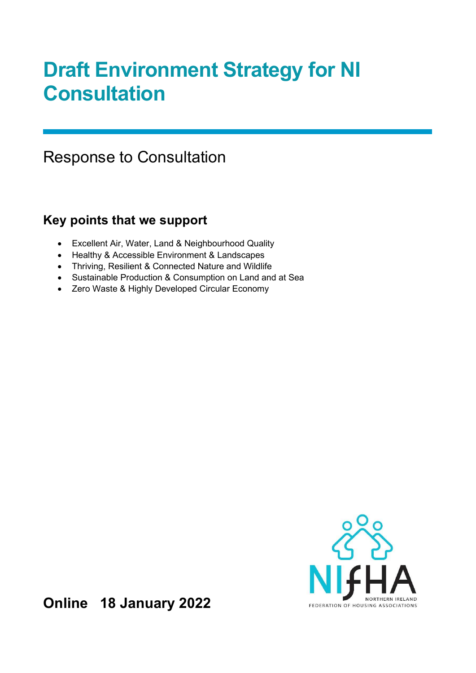# Draft Environment Strategy for NI **Consultation**

# Response to Consultation

# Key points that we support

- Excellent Air, Water, Land & Neighbourhood Quality
- Healthy & Accessible Environment & Landscapes
- Thriving, Resilient & Connected Nature and Wildlife
- Sustainable Production & Consumption on Land and at Sea
- Zero Waste & Highly Developed Circular Economy



Online 18 January 2022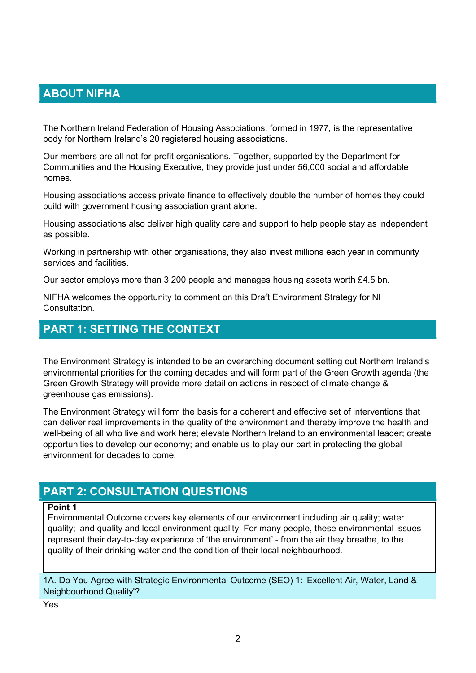# ABOUT NIFHA

The Northern Ireland Federation of Housing Associations, formed in 1977, is the representative body for Northern Ireland's 20 registered housing associations.

Our members are all not-for-profit organisations. Together, supported by the Department for Communities and the Housing Executive, they provide just under 56,000 social and affordable homes.

Housing associations access private finance to effectively double the number of homes they could build with government housing association grant alone.

Housing associations also deliver high quality care and support to help people stay as independent as possible.

Working in partnership with other organisations, they also invest millions each year in community services and facilities.

Our sector employs more than 3,200 people and manages housing assets worth £4.5 bn.

NIFHA welcomes the opportunity to comment on this Draft Environment Strategy for NI **Consultation** 

### PART 1: SETTING THE CONTEXT

The Environment Strategy is intended to be an overarching document setting out Northern Ireland's environmental priorities for the coming decades and will form part of the Green Growth agenda (the Green Growth Strategy will provide more detail on actions in respect of climate change & greenhouse gas emissions).

The Environment Strategy will form the basis for a coherent and effective set of interventions that can deliver real improvements in the quality of the environment and thereby improve the health and well-being of all who live and work here; elevate Northern Ireland to an environmental leader; create opportunities to develop our economy; and enable us to play our part in protecting the global environment for decades to come.

## PART 2: CONSULTATION QUESTIONS

#### Point 1

Environmental Outcome covers key elements of our environment including air quality; water quality; land quality and local environment quality. For many people, these environmental issues represent their day-to-day experience of 'the environment' - from the air they breathe, to the quality of their drinking water and the condition of their local neighbourhood.

1A. Do You Agree with Strategic Environmental Outcome (SEO) 1: 'Excellent Air, Water, Land & Neighbourhood Quality'?

Yes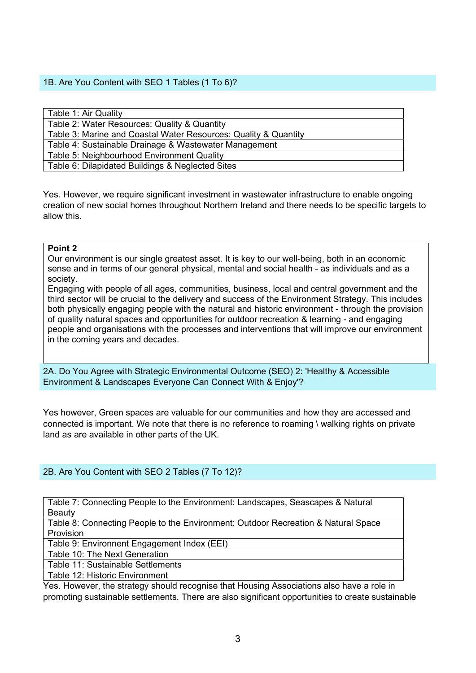#### 1B. Are You Content with SEO 1 Tables (1 To 6)?

| Table 1: Air Quality                                            |
|-----------------------------------------------------------------|
| Table 2: Water Resources: Quality & Quantity                    |
| Table 3: Marine and Coastal Water Resources: Quality & Quantity |
| Table 4: Sustainable Drainage & Wastewater Management           |
| Table 5: Neighbourhood Environment Quality                      |
| Table 6: Dilapidated Buildings & Neglected Sites                |

Yes. However, we require significant investment in wastewater infrastructure to enable ongoing creation of new social homes throughout Northern Ireland and there needs to be specific targets to allow this.

#### Point 2

Our environment is our single greatest asset. It is key to our well-being, both in an economic sense and in terms of our general physical, mental and social health - as individuals and as a society.

Engaging with people of all ages, communities, business, local and central government and the third sector will be crucial to the delivery and success of the Environment Strategy. This includes both physically engaging people with the natural and historic environment - through the provision of quality natural spaces and opportunities for outdoor recreation & learning - and engaging people and organisations with the processes and interventions that will improve our environment in the coming years and decades.

2A. Do You Agree with Strategic Environmental Outcome (SEO) 2: 'Healthy & Accessible Environment & Landscapes Everyone Can Connect With & Enjoy'?

Yes however, Green spaces are valuable for our communities and how they are accessed and connected is important. We note that there is no reference to roaming \ walking rights on private land as are available in other parts of the UK.

#### 2B. Are You Content with SEO 2 Tables (7 To 12)?

Table 7: Connecting People to the Environment: Landscapes, Seascapes & Natural **Beauty** 

Table 8: Connecting People to the Environment: Outdoor Recreation & Natural Space **Provision** 

Table 9: Environnent Engagement Index (EEI)

Table 10: The Next Generation

Table 11: Sustainable Settlements

Table 12: Historic Environment

Yes. However, the strategy should recognise that Housing Associations also have a role in promoting sustainable settlements. There are also significant opportunities to create sustainable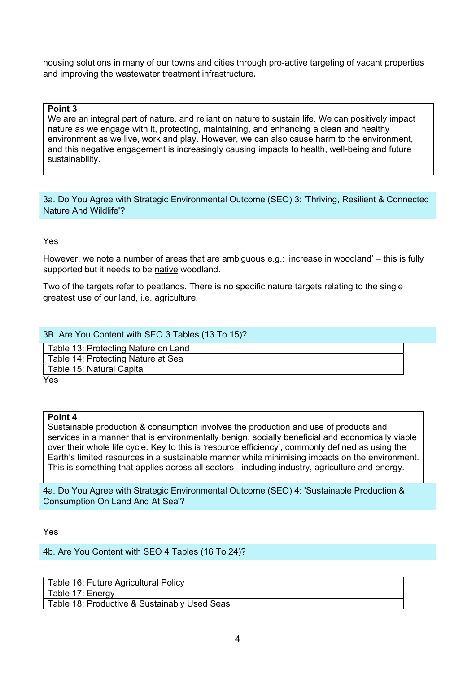housing solutions in many of our towns and cities through pro-active targeting of vacant properties and improving the wastewater treatment infrastructure.

#### Point 3

We are an integral part of nature, and reliant on nature to sustain life. We can positively impact nature as we engage with it, protecting, maintaining, and enhancing a clean and healthy environment as we live, work and play. However, we can also cause harm to the environment, and this negative engagement is increasingly causing impacts to health, well-being and future sustainability.

3a. Do You Agree with Strategic Environmental Outcome (SEO) 3: 'Thriving, Resilient & Connected Nature And Wildlife'?

Yes

However, we note a number of areas that are ambiguous e.g.: 'increase in woodland' – this is fully supported but it needs to be native woodland.

Two of the targets refer to peatlands. There is no specific nature targets relating to the single greatest use of our land, i.e. agriculture.

#### 3B. Are You Content with SEO 3 Tables (13 To 15)?

Table 13: Protecting Nature on Land Table 14: Protecting Nature at Sea Table 15: Natural Capital

Yes

#### Point 4

Sustainable production & consumption involves the production and use of products and services in a manner that is environmentally benign, socially beneficial and economically viable over their whole life cycle. Key to this is 'resource efficiency', commonly defined as using the Earth's limited resources in a sustainable manner while minimising impacts on the environment. This is something that applies across all sectors - including industry, agriculture and energy.

4a. Do You Agree with Strategic Environmental Outcome (SEO) 4: 'Sustainable Production & Consumption On Land And At Sea'?

Yes

4b. Are You Content with SEO 4 Tables (16 To 24)?

| Table 16: Future Agricultural Policy         |
|----------------------------------------------|
| Table 17: Energy                             |
| Table 18: Productive & Sustainably Used Seas |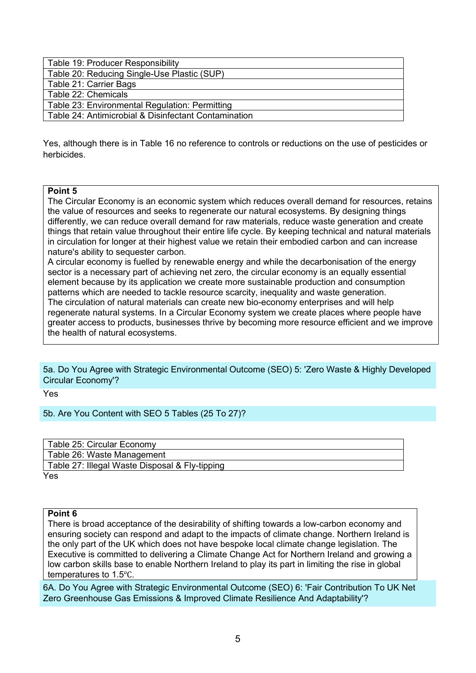| Table 19: Producer Responsibility                    |
|------------------------------------------------------|
| Table 20: Reducing Single-Use Plastic (SUP)          |
| Table 21: Carrier Bags                               |
| Table 22: Chemicals                                  |
| Table 23: Environmental Regulation: Permitting       |
| Table 24: Antimicrobial & Disinfectant Contamination |

Yes, although there is in Table 16 no reference to controls or reductions on the use of pesticides or herbicides.

#### Point 5

The Circular Economy is an economic system which reduces overall demand for resources, retains the value of resources and seeks to regenerate our natural ecosystems. By designing things differently, we can reduce overall demand for raw materials, reduce waste generation and create things that retain value throughout their entire life cycle. By keeping technical and natural materials in circulation for longer at their highest value we retain their embodied carbon and can increase nature's ability to sequester carbon.

A circular economy is fuelled by renewable energy and while the decarbonisation of the energy sector is a necessary part of achieving net zero, the circular economy is an equally essential element because by its application we create more sustainable production and consumption patterns which are needed to tackle resource scarcity, inequality and waste generation. The circulation of natural materials can create new bio-economy enterprises and will help regenerate natural systems. In a Circular Economy system we create places where people have greater access to products, businesses thrive by becoming more resource efficient and we improve the health of natural ecosystems.

5a. Do You Agree with Strategic Environmental Outcome (SEO) 5: 'Zero Waste & Highly Developed Circular Economy'?

Yes

5b. Are You Content with SEO 5 Tables (25 To 27)?

| Table 25: Circular Economy                     |
|------------------------------------------------|
| Table 26: Waste Management                     |
| Table 27: Illegal Waste Disposal & Fly-tipping |
| Yes                                            |

#### Point 6

There is broad acceptance of the desirability of shifting towards a low-carbon economy and ensuring society can respond and adapt to the impacts of climate change. Northern Ireland is the only part of the UK which does not have bespoke local climate change legislation. The Executive is committed to delivering a Climate Change Act for Northern Ireland and growing a low carbon skills base to enable Northern Ireland to play its part in limiting the rise in global temperatures to 1.5℃.

6A. Do You Agree with Strategic Environmental Outcome (SEO) 6: 'Fair Contribution To UK Net Zero Greenhouse Gas Emissions & Improved Climate Resilience And Adaptability'?